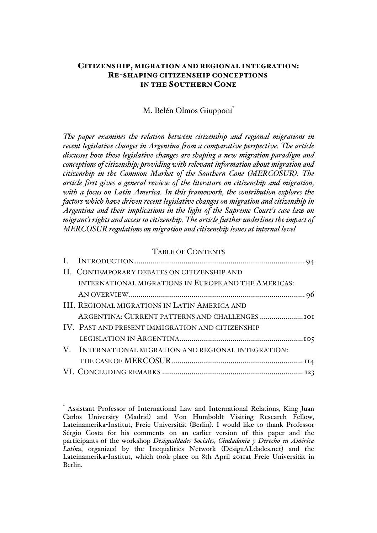## CITIZENSHIP, MIGRATION AND REGIONAL INTEGRATION: RE-SHAPING CITIZENSHIP CONCEPTIONS IN THE SOUTHERN CONE

## M. Belén Olmos Giupponi\*

*The paper examines the relation between citizenship and regional migrations in recent legislative changes in Argentina from a comparative perspective. The article discusses how these legislative changes are shaping a new migration paradigm and conceptions of citizenship; providing with relevant information about migration and citizenship in the Common Market of the Southern Cone (MERCOSUR). The article first gives a general review of the literature on citizenship and migration, with a focus on Latin America. In this framework, the contribution explores the factors which have driven recent legislative changes on migration and citizenship in Argentina and their implications in the light of the Supreme Court's case law on migrant's rights and access to citizenship. The article further underlines the impact of MERCOSUR regulations on migration and citizenship issues at internal level*

#### TABLE OF CONTENTS

| II. CONTEMPORARY DEBATES ON CITIZENSHIP AND          |  |
|------------------------------------------------------|--|
| INTERNATIONAL MIGRATIONS IN EUROPE AND THE AMERICAS: |  |
|                                                      |  |
| <b>III. REGIONAL MIGRATIONS IN LATIN AMERICA AND</b> |  |
|                                                      |  |
| IV. PAST AND PRESENT IMMIGRATION AND CITIZENSHIP     |  |
|                                                      |  |
| V. INTERNATIONAL MIGRATION AND REGIONAL INTEGRATION: |  |
|                                                      |  |
|                                                      |  |

Assistant Professor of International Law and International Relations, King Juan Carlos University (Madrid) and Von Humboldt Visiting Research Fellow, Lateinamerika-Institut, Freie Universität (Berlin). I would like to thank Professor Sérgio Costa for his comments on an earlier version of this paper and the participants of the workshop *Desigualdades Sociales, Ciudadanía y Derecho en América Latin*a, organized by the Inequalities Network (DesiguALdades.net) and the Lateinamerika-Institut, which took place on 8th April 2011at Freie Universität in Berlin.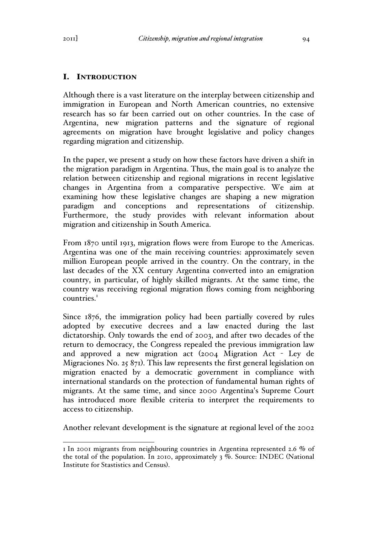# I. INTRODUCTION

Although there is a vast literature on the interplay between citizenship and immigration in European and North American countries, no extensive research has so far been carried out on other countries. In the case of Argentina, new migration patterns and the signature of regional agreements on migration have brought legislative and policy changes regarding migration and citizenship.

In the paper, we present a study on how these factors have driven a shift in the migration paradigm in Argentina. Thus, the main goal is to analyze the relation between citizenship and regional migrations in recent legislative changes in Argentina from a comparative perspective. We aim at examining how these legislative changes are shaping a new migration paradigm and conceptions and representations of citizenship. Furthermore, the study provides with relevant information about migration and citizenship in South America.

From 1870 until 1913, migration flows were from Europe to the Americas. Argentina was one of the main receiving countries: approximately seven million European people arrived in the country. On the contrary, in the last decades of the XX century Argentina converted into an emigration country, in particular, of highly skilled migrants. At the same time, the country was receiving regional migration flows coming from neighboring countries.<sup>1</sup>

Since 1876, the immigration policy had been partially covered by rules adopted by executive decrees and a law enacted during the last dictatorship. Only towards the end of 2003, and after two decades of the return to democracy, the Congress repealed the previous immigration law and approved a new migration act (2004 Migration Act - Ley de Migraciones No. 25 871). This law represents the first general legislation on migration enacted by a democratic government in compliance with international standards on the protection of fundamental human rights of migrants. At the same time, and since 2000 Argentina's Supreme Court has introduced more flexible criteria to interpret the requirements to access to citizenship.

Another relevant development is the signature at regional level of the 2002

 <sup>1</sup> In 2001 migrants from neighbouring countries in Argentina represented 2.6 % of the total of the population. In 2010, approximately 3 %. Source: INDEC (National Institute for Stastistics and Census).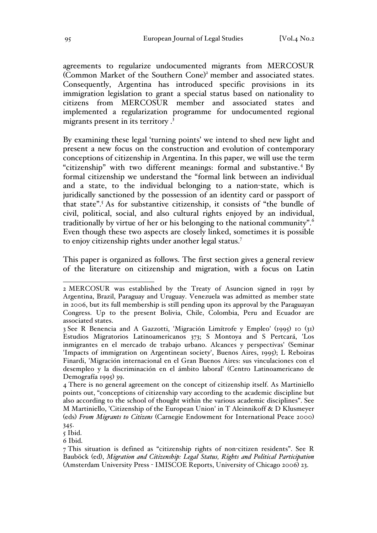agreements to regularize undocumented migrants from MERCOSUR (Common Market of the Southern Cone) <sup>2</sup> member and associated states. Consequently, Argentina has introduced specific provisions in its immigration legislation to grant a special status based on nationality to citizens from MERCOSUR member and associated states and implemented a regularization programme for undocumented regional migrants present in its territory . 3

By examining these legal 'turning points' we intend to shed new light and present a new focus on the construction and evolution of contemporary conceptions of citizenship in Argentina. In this paper, we will use the term "citizenship" with two different meanings: formal and substantive.<sup>4</sup> By formal citizenship we understand the "formal link between an individual and a state, to the individual belonging to a nation-state, which is juridically sanctioned by the possession of an identity card or passport of that state".5 As for substantive citizenship, it consists of "the bundle of civil, political, social, and also cultural rights enjoyed by an individual, traditionally by virtue of her or his belonging to the national community".<sup>6</sup> Even though these two aspects are closely linked, sometimes it is possible to enjoy citizenship rights under another legal status.7

This paper is organized as follows. The first section gives a general review of the literature on citizenship and migration, with a focus on Latin

6 Ibid.

 <sup>2</sup> MERCOSUR was established by the Treaty of Asuncion signed in 1991 by Argentina, Brazil, Paraguay and Uruguay. Venezuela was admitted as member state in 2006, but its full membership is still pending upon its approval by the Paraguayan Congress. Up to the present Bolivia, Chile, Colombia, Peru and Ecuador are associated states.

<sup>3</sup> See R Benencia and A Gazzotti, 'Migración Limítrofe y Empleo' (1995) 10 (31) Estudios Migratorios Latinoamericanos 373; S Montoya and S Pertcará, 'Los inmigrantes en el mercado de trabajo urbano. Alcances y perspectivas' (Seminar 'Impacts of immigration on Argentinean society', Buenos Aires, 1995); L Reboiras Finardi, 'Migración internacional en el Gran Buenos Aires: sus vinculaciones con el desempleo y la discriminación en el ámbito laboral' (Centro Latinoamericano de Demografía 1995) 39.

<sup>4</sup> There is no general agreement on the concept of citizenship itself. As Martiniello points out, "conceptions of citizenship vary according to the academic discipline but also according to the school of thought within the various academic disciplines". See M Martiniello, 'Citizenship of the European Union' in T Aleinnikoff & D Klusmeyer (eds) *From Migrants to Citizens* (Carnegie Endowment for International Peace 2000)

<sup>345.</sup>  $\overline{5}$  Ibid.

<sup>7</sup> This situation is defined as "citizenship rights of non-citizen residents". See R Bauböck (ed), *Migration and Citizenship: Legal Status, Rights and Political Participation* (Amsterdam University Press - IMISCOE Reports, University of Chicago 2006) 23.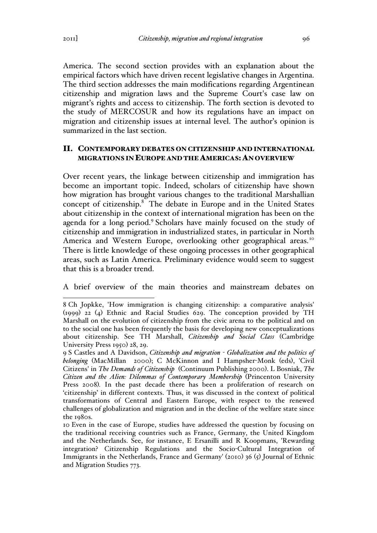America. The second section provides with an explanation about the empirical factors which have driven recent legislative changes in Argentina. The third section addresses the main modifications regarding Argentinean citizenship and migration laws and the Supreme Court's case law on migrant's rights and access to citizenship. The forth section is devoted to the study of MERCOSUR and how its regulations have an impact on migration and citizenship issues at internal level. The author's opinion is summarized in the last section.

### II. CONTEMPORARY DEBATES ON CITIZENSHIP AND INTERNATIONAL MIGRATIONS IN EUROPE AND THE AMERICAS:AN OVERVIEW

Over recent years, the linkage between citizenship and immigration has become an important topic. Indeed, scholars of citizenship have shown how migration has brought various changes to the traditional Marshallian concept of citizenship.<sup>8</sup> The debate in Europe and in the United States about citizenship in the context of international migration has been on the agenda for a long period.<sup>9</sup> Scholars have mainly focused on the study of citizenship and immigration in industrialized states, in particular in North America and Western Europe, overlooking other geographical areas.<sup>10</sup> There is little knowledge of these ongoing processes in other geographical areas, such as Latin America. Preliminary evidence would seem to suggest that this is a broader trend.

A brief overview of the main theories and mainstream debates on

 <sup>8</sup> Ch Jopkke, 'How immigration is changing citizenship: a comparative analysis' (1999) 22 (4) Ethnic and Racial Studies 629. The conception provided by TH Marshall on the evolution of citizenship from the civic arena to the political and on to the social one has been frequently the basis for developing new conceptualizations about citizenship. See TH Marshall, *Citizenship and Social Class* (Cambridge University Press 1950) 28, 29.

<sup>9</sup> S Castles and A Davidson, *Citizenship and migration - Globalization and the politics of belonging* (MacMillan 2000); C McKinnon and I Hampsher-Monk (eds), 'Civil Citizens' in *The Demands of Citizenship* (Continuum Publishing 2000). L Bosniak, *The Citizen and the Alien: Dilemmas of Contemporary Membership* (Princenton University Press 2008)*.* In the past decade there has been a proliferation of research on 'citizenship' in different contexts. Thus, it was discussed in the context of political transformations of Central and Eastern Europe, with respect to the renewed challenges of globalization and migration and in the decline of the welfare state since the 1980s.

<sup>10</sup> Even in the case of Europe, studies have addressed the question by focusing on the traditional receiving countries such as France, Germany, the United Kingdom and the Netherlands. See, for instance, E Ersanilli and R Koopmans, 'Rewarding integration? Citizenship Regulations and the Socio-Cultural Integration of Immigrants in the Netherlands, France and Germany' (2010) 36 (5) Journal of Ethnic and Migration Studies 773.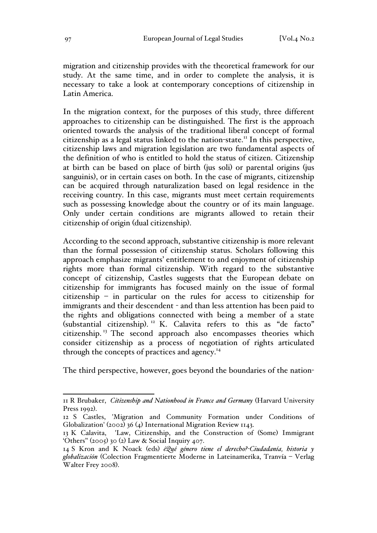migration and citizenship provides with the theoretical framework for our study. At the same time, and in order to complete the analysis, it is necessary to take a look at contemporary conceptions of citizenship in Latin America.

In the migration context, for the purposes of this study, three different approaches to citizenship can be distinguished. The first is the approach oriented towards the analysis of the traditional liberal concept of formal citizenship as a legal status linked to the nation-state.<sup> $\text{II}$ </sup> In this perspective, citizenship laws and migration legislation are two fundamental aspects of the definition of who is entitled to hold the status of citizen. Citizenship at birth can be based on place of birth (jus soli) or parental origins (jus sanguinis), or in certain cases on both. In the case of migrants, citizenship can be acquired through naturalization based on legal residence in the receiving country. In this case, migrants must meet certain requirements such as possessing knowledge about the country or of its main language. Only under certain conditions are migrants allowed to retain their citizenship of origin (dual citizenship).

According to the second approach, substantive citizenship is more relevant than the formal possession of citizenship status. Scholars following this approach emphasize migrants' entitlement to and enjoyment of citizenship rights more than formal citizenship. With regard to the substantive concept of citizenship, Castles suggests that the European debate on citizenship for immigrants has focused mainly on the issue of formal citizenship – in particular on the rules for access to citizenship for immigrants and their descendent - and than less attention has been paid to the rights and obligations connected with being a member of a state (substantial citizenship).<sup>12</sup> K. Calavita refers to this as "de facto" citizenship. <sup>13</sup> The second approach also encompasses theories which consider citizenship as a process of negotiation of rights articulated through the concepts of practices and agency.<sup>14</sup>

The third perspective, however, goes beyond the boundaries of the nation-

 <sup>11</sup> R Brubaker, *Citizenship and Nationhood in France and Germany* (Harvard University Press 1992).

<sup>12</sup> S Castles, 'Migration and Community Formation under Conditions of Globalization' (2002) 36 (4) International Migration Review 1143.

<sup>13</sup> K Calavita, 'Law, Citizenship, and the Construction of (Some) Immigrant 'Others'' (2005) 30 (2) Law & Social Inquiry 407.

<sup>14</sup> S Kron and K Noack (eds) *¿Qué género tiene el derecho?-Ciudadanía, historia y globalización* (Colection Fragmentierte Moderne in Lateinamerika, Tranvía – Verlag Walter Frey 2008).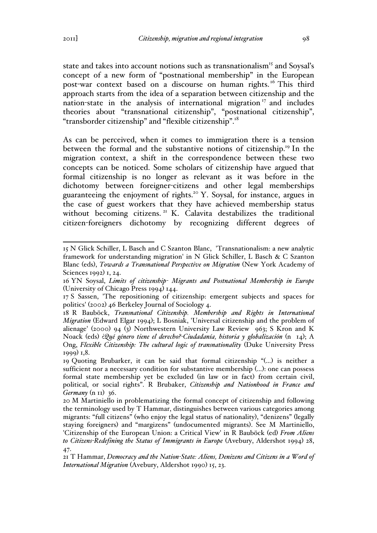state and takes into account notions such as transnationalism<sup>15</sup> and Soysal's concept of a new form of "postnational membership" in the European post-war context based on a discourse on human rights.<sup>16</sup> This third approach starts from the idea of a separation between citizenship and the nation-state in the analysis of international migration  $\frac{17}{17}$  and includes theories about "transnational citizenship", "postnational citizenship", "transborder citizenship" and "flexible citizenship".<sup>18</sup>

As can be perceived, when it comes to immigration there is a tension between the formal and the substantive notions of citizenship.19 In the migration context, a shift in the correspondence between these two concepts can be noticed. Some scholars of citizenship have argued that formal citizenship is no longer as relevant as it was before in the dichotomy between foreigner-citizens and other legal memberships guaranteeing the enjoyment of rights.<sup>20</sup> Y. Soysal, for instance, argues in the case of guest workers that they have achieved membership status without becoming citizens.<sup>21</sup> K. Calavita destabilizes the traditional citizen-foreigners dichotomy by recognizing different degrees of

 <sup>15</sup> N Glick Schiller, L Basch and C Szanton Blanc, 'Transnationalism: a new analytic framework for understanding migration' in N Glick Schiller, L Basch & C Szanton Blanc (eds), *Towards a Transnational Perspective on Migration* (New York Academy of Sciences 1992) 1, 24.

<sup>16</sup> YN Soysal, *Limits of citizenship- Migrants and Postnational Membership in Europe* (University of Chicago Press 1994) 144.

<sup>17</sup> S Sassen, 'The repositioning of citizenship: emergent subjects and spaces for politics' (2002) 46 Berkeley Journal of Sociology 4.

<sup>18</sup> R Bauböck, *Transnational Citizenship. Membership and Rights in International Migration* (Edward Elgar 1994); L Bosniak, 'Universal citizenship and the problem of alienage' (2000) 94 (3) Northwestern University Law Review 963; S Kron and K Noack (eds) ¿*Qué género tiene el derecho?-Ciudadanía, historia y globalización* (n 14); A Ong, *Flexible Citizenship: The cultural logic of transnationality* (Duke University Press 1999) 1,8.

<sup>19</sup> Quoting Brubarker, it can be said that formal citizenship "(…) is neither a sufficient nor a necessary condition for substantive membership (…): one can possess formal state membership yet be excluded (in law or in fact) from certain civil, political, or social rights". R Brubaker, *Citizenship and Nationhood in France and Germany* (n 11) 36.

<sup>20</sup> M Martiniello in problematizing the formal concept of citizenship and following the terminology used by T Hammar, distinguishes between various categories among migrants: "full citizens" (who enjoy the legal status of nationality), "denizens" (legally staying foreigners) and "margizens" (undocumented migrants). See M Martiniello, 'Citizenship of the European Union: a Critical View' in R Bauböck (ed) *From Aliens to Citizens-Redefining the Status of Immigrants in Europe* (Avebury, Aldershot 1994) 28, 47.

<sup>21</sup> T Hammar, *Democracy and the Nation-State: Aliens, Denizens and Citizens in a Word of International Migration* (Avebury, Aldershot 1990) 15, 23.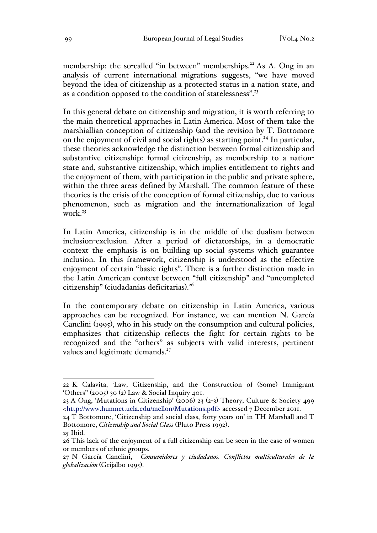membership: the so-called "in between" memberships.<sup>22</sup> As A. Ong in an analysis of current international migrations suggests, "we have moved beyond the idea of citizenship as a protected status in a nation-state, and as a condition opposed to the condition of statelessness".<sup>23</sup>

In this general debate on citizenship and migration, it is worth referring to the main theoretical approaches in Latin America. Most of them take the marshiallian conception of citizenship (and the revision by T. Bottomore on the enjoyment of civil and social rights) as starting point.<sup>24</sup> In particular, these theories acknowledge the distinction between formal citizenship and substantive citizenship: formal citizenship, as membership to a nationstate and, substantive citizenship, which implies entitlement to rights and the enjoyment of them, with participation in the public and private sphere, within the three areas defined by Marshall. The common feature of these theories is the crisis of the conception of formal citizenship, due to various phenomenon, such as migration and the internationalization of legal work $25$ 

In Latin America, citizenship is in the middle of the dualism between inclusion-exclusion. After a period of dictatorships, in a democratic context the emphasis is on building up social systems which guarantee inclusion. In this framework, citizenship is understood as the effective enjoyment of certain "basic rights". There is a further distinction made in the Latin American context between "full citizenship" and "uncompleted citizenship" (ciudadanías deficitarias). 26

In the contemporary debate on citizenship in Latin America, various approaches can be recognized. For instance, we can mention N. García Canclini (1995), who in his study on the consumption and cultural policies, emphasizes that citizenship reflects the fight for certain rights to be recognized and the "others" as subjects with valid interests, pertinent values and legitimate demands.<sup>27</sup>

 <sup>22</sup> K Calavita, 'Law, Citizenship, and the Construction of (Some) Immigrant 'Others'' (2005) 30 (2) Law & Social Inquiry 401.

<sup>23</sup> A Ong, 'Mutations in Citizenship' (2006) 23 (2-3) Theory, Culture & Society 499 <http://www.humnet.ucla.edu/mellon/Mutations.pdf> accessed 7 December 2011.

<sup>24</sup> T Bottomore, 'Citizenship and social class, forty years on' in TH Marshall and T Bottomore, *Citizenship and Social Class* (Pluto Press 1992).

<sup>25</sup> Ibid.

<sup>26</sup> This lack of the enjoyment of a full citizenship can be seen in the case of women or members of ethnic groups.

<sup>27</sup> N García Canclini, *Consumidores y ciudadanos. Conflictos multiculturales de la globalización* (Grijalbo 1995).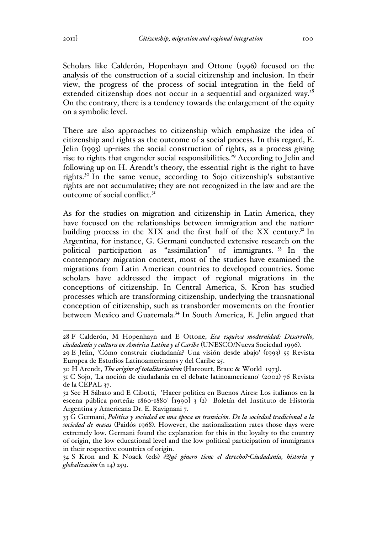Scholars like Calderón, Hopenhayn and Ottone (1996) focused on the analysis of the construction of a social citizenship and inclusion. In their view, the progress of the process of social integration in the field of extended citizenship does not occur in a sequential and organized way.<sup>28</sup> On the contrary, there is a tendency towards the enlargement of the equity on a symbolic level.

There are also approaches to citizenship which emphasize the idea of citizenship and rights as the outcome of a social process. In this regard, E. Jelin (1993) up-rises the social construction of rights, as a process giving rise to rights that engender social responsibilities.<sup>29</sup> According to Jelin and following up on H. Arendt's theory, the essential right is the right to have rights.<sup>30</sup> In the same venue, according to Sojo citizenship's substantive rights are not accumulative; they are not recognized in the law and are the outcome of social conflict.<sup>31</sup>

As for the studies on migration and citizenship in Latin America, they have focused on the relationships between immigration and the nationbuilding process in the XIX and the first half of the XX century.<sup>32</sup> In Argentina, for instance, G. Germani conducted extensive research on the political participation as "assimilation" of immigrants. <sup>33</sup> In the contemporary migration context, most of the studies have examined the migrations from Latin American countries to developed countries. Some scholars have addressed the impact of regional migrations in the conceptions of citizenship. In Central America, S. Kron has studied processes which are transforming citizenship, underlying the transnational conception of citizenship, such as transborder movements on the frontier between Mexico and Guatemala.34 In South America, E. Jelin argued that

 <sup>28</sup> F Calderón, M Hopenhayn and E Ottone, *Esa esquiva modernidad: Desarrollo, ciudadanía y cultura en América Latina y el Caribe* (UNESCO/Nueva Sociedad 1996).

<sup>29</sup> E Jelin, 'Cómo construir ciudadanía? Una visión desde abajo' (1993) 55 Revista Europea de Estudios Latinoamericanos y del Caribe 25.

<sup>30</sup> H Arendt, *The origins of totalitarianism* (Harcourt, Brace & World 1973).

<sup>31</sup> C Sojo, 'La noción de ciudadanía en el debate latinoamericano' (2002) 76 Revista de la CEPAL 37.

<sup>32</sup> See H Sábato and E Cibotti, 'Hacer política en Buenos Aires: Los italianos en la escena pública porteña: 1860-1880' [1990] 3 (2) Boletín del Instituto de Historia Argentina y Americana Dr. E. Ravignani 7.

<sup>33</sup> G Germani, *Política y sociedad en una época en transición. De la sociedad tradicional a la sociedad de masas* (Paidós 1968). However, the nationalization rates those days were extremely low. Germani found the explanation for this in the loyalty to the country of origin, the low educational level and the low political participation of immigrants in their respective countries of origin.

<sup>34</sup> S Kron and K Noack (eds) *¿Qué género tiene el derecho?-Ciudadanía, historia y globalización* (n 14) 259.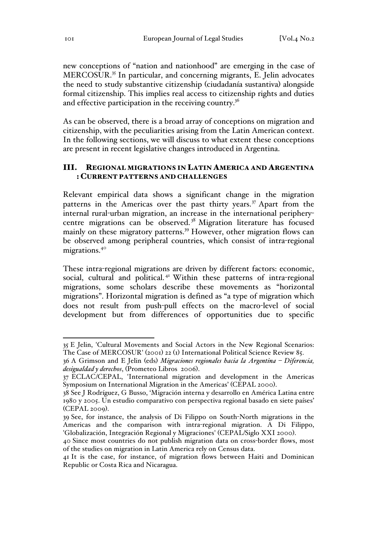new conceptions of "nation and nationhood" are emerging in the case of MERCOSUR.35 In particular, and concerning migrants, E. Jelin advocates the need to study substantive citizenship (ciudadanía sustantiva) alongside formal citizenship. This implies real access to citizenship rights and duties and effective participation in the receiving country. $36$ 

As can be observed, there is a broad array of conceptions on migration and citizenship, with the peculiarities arising from the Latin American context. In the following sections, we will discuss to what extent these conceptions are present in recent legislative changes introduced in Argentina.

## III. REGIONAL MIGRATIONS IN LATIN AMERICA AND ARGENTINA : CURRENT PATTERNS AND CHALLENGES

Relevant empirical data shows a significant change in the migration patterns in the Americas over the past thirty years.<sup>37</sup> Apart from the internal rural-urban migration, an increase in the international peripherycentre migrations can be observed. <sup>38</sup> Migration literature has focused mainly on these migratory patterns.<sup>39</sup> However, other migration flows can be observed among peripheral countries, which consist of intra-regional migrations.<sup>40</sup>

These intra-regional migrations are driven by different factors: economic, social, cultural and political.<sup>41</sup> Within these patterns of intra-regional migrations, some scholars describe these movements as "horizontal migrations". Horizontal migration is defined as "a type of migration which does not result from push-pull effects on the macro-level of social development but from differences of opportunities due to specific

 <sup>35</sup> E Jelin, 'Cultural Movements and Social Actors in the New Regional Scenarios: The Case of MERCOSUR' (2001) 22 (1) International Political Science Review 85.

<sup>36</sup> A Grimson and E Jelin (eds) *Migraciones regionales hacia la Argentina – Diferencia, desigualdad y derechos*, (Prometeo Libros 2006).

<sup>37</sup> ECLAC/CEPAL, 'International migration and development in the Americas Symposium on International Migration in the Americas' (CEPAL 2000).

<sup>38</sup> See J Rodríguez, G Busso, 'Migración interna y desarrollo en América Latina entre 1980 y 2005. Un estudio comparativo con perspectiva regional basado en siete países' (CEPAL 2009).

<sup>39</sup> See, for instance, the analysis of Di Filippo on South-North migrations in the Americas and the comparison with intra-regional migration. A Di Filippo, 'Globalización, Integración Regional y Migraciones' (CEPAL/Siglo XXI 2000).

<sup>40</sup> Since most countries do not publish migration data on cross-border flows, most of the studies on migration in Latin America rely on Census data.

<sup>41</sup> It is the case, for instance, of migration flows between Haiti and Dominican Republic or Costa Rica and Nicaragua.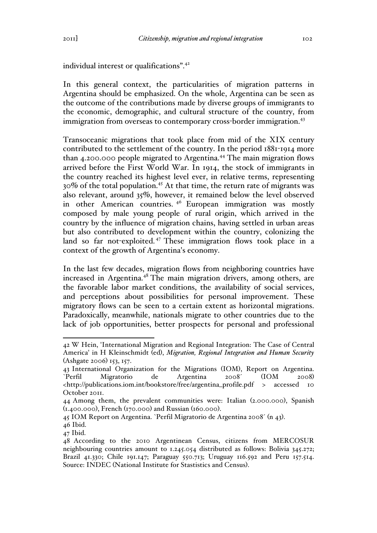individual interest or qualifications".<sup>42</sup>

In this general context, the particularities of migration patterns in Argentina should be emphasized. On the whole, Argentina can be seen as the outcome of the contributions made by diverse groups of immigrants to the economic, demographic, and cultural structure of the country, from immigration from overseas to contemporary cross-border immigration.<sup>43</sup>

Transoceanic migrations that took place from mid of the XIX century contributed to the settlement of the country. In the period 1881-1914 more than 4.200.000 people migrated to Argentina.<sup>44</sup> The main migration flows arrived before the First World War. In 1914, the stock of immigrants in the country reached its highest level ever, in relative terms, representing 30% of the total population.<sup>45</sup> At that time, the return rate of migrants was also relevant, around 35%, however, it remained below the level observed in other American countries.<sup>46</sup> European immigration was mostly composed by male young people of rural origin, which arrived in the country by the influence of migration chains, having settled in urban areas but also contributed to development within the country, colonizing the land so far not-exploited. <sup>47</sup> These immigration flows took place in a context of the growth of Argentina's economy.

In the last few decades, migration flows from neighboring countries have increased in Argentina.<sup>48</sup> The main migration drivers, among others, are the favorable labor market conditions, the availability of social services, and perceptions about possibilities for personal improvement. These migratory flows can be seen to a certain extent as horizontal migrations. Paradoxically, meanwhile, nationals migrate to other countries due to the lack of job opportunities, better prospects for personal and professional

 <sup>42</sup> W Hein, 'International Migration and Regional Integration: The Case of Central America' in H Kleinschmidt (ed), *Migration, Regional Integration and Human Security*  (Ashgate 2006) 153, 157.

<sup>43</sup> International Organization for the Migrations (IOM), Report on Argentina. `Perfil Migratorio de Argentina 2008´ (IOM 2008) <http://publications.iom.int/bookstore/free/argentina\_profile.pdf > accessed 10 October 2011.

<sup>44</sup> Among them, the prevalent communities were: Italian (2.000.000), Spanish (1.400.000), French (170.000) and Russian (160.000).

<sup>45</sup> IOM Report on Argentina. `Perfil Migratorio de Argentina 2008´ (n 43).

<sup>46</sup> Ibid.

<sup>47</sup> Ibid.

<sup>48</sup> According to the 2010 Argentinean Census, citizens from MERCOSUR neighbouring countries amount to 1.245.054 distributed as follows: Bolivia 345.272; Brazil 41.330; Chile 191.147; Paraguay 550.713; Uruguay 116.592 and Peru 157.514. Source: INDEC (National Institute for Stastistics and Census).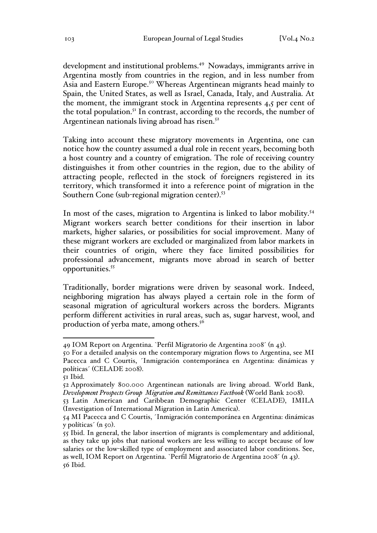development and institutional problems.<sup>49</sup> Nowadays, immigrants arrive in Argentina mostly from countries in the region, and in less number from Asia and Eastern Europe.<sup>50</sup> Whereas Argentinean migrants head mainly to Spain, the United States, as well as Israel, Canada, Italy, and Australia. At the moment, the immigrant stock in Argentina represents 4,5 per cent of the total population.<sup>51</sup> In contrast, according to the records, the number of Argentinean nationals living abroad has risen. $52$ 

Taking into account these migratory movements in Argentina, one can notice how the country assumed a dual role in recent years, becoming both a host country and a country of emigration. The role of receiving country distinguishes it from other countries in the region, due to the ability of attracting people, reflected in the stock of foreigners registered in its territory, which transformed it into a reference point of migration in the Southern Cone (sub-regional migration center).<sup>53</sup>

In most of the cases, migration to Argentina is linked to labor mobility.<sup>54</sup> Migrant workers search better conditions for their insertion in labor markets, higher salaries, or possibilities for social improvement. Many of these migrant workers are excluded or marginalized from labor markets in their countries of origin, where they face limited possibilities for professional advancement, migrants move abroad in search of better opportunities.<sup>55</sup>

Traditionally, border migrations were driven by seasonal work. Indeed, neighboring migration has always played a certain role in the form of seasonal migration of agricultural workers across the borders. Migrants perform different activities in rural areas, such as, sugar harvest, wool, and production of yerba mate, among others. $5<sup>6</sup>$ 

 <sup>49</sup> IOM Report on Argentina. `Perfil Migratorio de Argentina 2008´ (n 43).

<sup>50</sup> For a detailed analysis on the contemporary migration flows to Argentina, see MI Pacecca and C Courtis, ´Inmigración contemporánea en Argentina: dinámicas y políticas´ (CELADE 2008).

<sup>51</sup> Ibid.

<sup>52</sup> Approximately 800.000 Argentinean nationals are living abroad. World Bank, *Development Prospects Group Migration and Remittances Factbook* (World Bank 2008).

<sup>53</sup> Latin American and Caribbean Demographic Center (CELADE), IMILA (Investigation of International Migration in Latin America).

<sup>54</sup> MI Pacecca and C Courtis, ´Inmigración contemporánea en Argentina: dinámicas y políticas' (n 50).

<sup>55</sup> Ibid. In general, the labor insertion of migrants is complementary and additional, as they take up jobs that national workers are less willing to accept because of low salaries or the low-skilled type of employment and associated labor conditions. See, as well, IOM Report on Argentina. `Perfil Migratorio de Argentina 2008´ (n 43). 56 Ibid.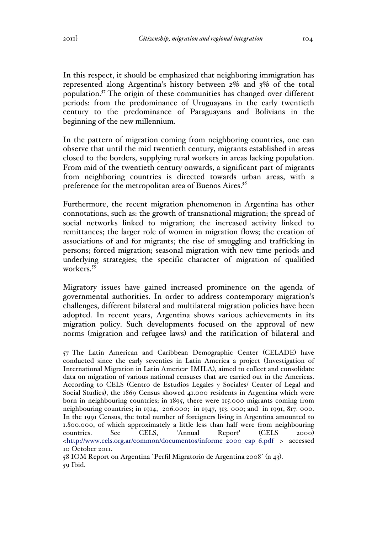In this respect, it should be emphasized that neighboring immigration has represented along Argentina's history between 2% and 3% of the total population.57 The origin of these communities has changed over different periods: from the predominance of Uruguayans in the early twentieth century to the predominance of Paraguayans and Bolivians in the beginning of the new millennium.

In the pattern of migration coming from neighboring countries, one can observe that until the mid twentieth century, migrants established in areas closed to the borders, supplying rural workers in areas lacking population. From mid of the twentieth century onwards, a significant part of migrants from neighboring countries is directed towards urban areas, with a preference for the metropolitan area of Buenos Aires.<sup>58</sup>

Furthermore, the recent migration phenomenon in Argentina has other connotations, such as: the growth of transnational migration; the spread of social networks linked to migration; the increased activity linked to remittances; the larger role of women in migration flows; the creation of associations of and for migrants; the rise of smuggling and trafficking in persons; forced migration; seasonal migration with new time periods and underlying strategies; the specific character of migration of qualified workers.<sup>59</sup>

Migratory issues have gained increased prominence on the agenda of governmental authorities. In order to address contemporary migration's challenges, different bilateral and multilateral migration policies have been adopted. In recent years, Argentina shows various achievements in its migration policy. Such developments focused on the approval of new norms (migration and refugee laws) and the ratification of bilateral and

 <sup>57</sup> The Latin American and Caribbean Demographic Center (CELADE) have conducted since the early seventies in Latin America a project (Investigation of International Migration in Latin America- IMILA), aimed to collect and consolidate data on migration of various national censuses that are carried out in the Americas. According to CELS (Centro de Estudios Legales y Sociales/ Center of Legal and Social Studies), the 1869 Census showed 41.000 residents in Argentina which were born in neighbouring countries; in 1895, there were 115.000 migrants coming from neighbouring countries; in 1914, 206.000; in 1947, 313. 000; and in 1991, 817. 000. In the 1991 Census, the total number of foreigners living in Argentina amounted to 1.800.000, of which approximately a little less than half were from neighbouring countries. See CELS, 'Annual Report' (CELS 2000) <http://www.cels.org.ar/common/documentos/informe\_2000\_cap\_6.pdf > accessed 10 October 2011.

<sup>58</sup> IOM Report on Argentina `Perfil Migratorio de Argentina 2008´ (n 43). 59 Ibid.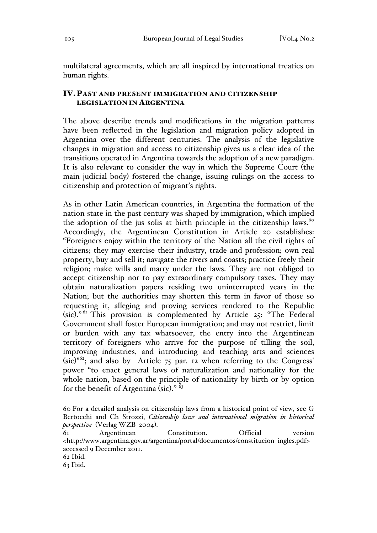multilateral agreements, which are all inspired by international treaties on human rights.

## IV.PAST AND PRESENT IMMIGRATION AND CITIZENSHIP LEGISLATION IN ARGENTINA

The above describe trends and modifications in the migration patterns have been reflected in the legislation and migration policy adopted in Argentina over the different centuries. The analysis of the legislative changes in migration and access to citizenship gives us a clear idea of the transitions operated in Argentina towards the adoption of a new paradigm. It is also relevant to consider the way in which the Supreme Court (the main judicial body) fostered the change, issuing rulings on the access to citizenship and protection of migrant's rights.

As in other Latin American countries, in Argentina the formation of the nation-state in the past century was shaped by immigration, which implied the adoption of the jus solis at birth principle in the citizenship laws. $\frac{100}{100}$ Accordingly, the Argentinean Constitution in Article 20 establishes: "Foreigners enjoy within the territory of the Nation all the civil rights of citizens; they may exercise their industry, trade and profession; own real property, buy and sell it; navigate the rivers and coasts; practice freely their religion; make wills and marry under the laws. They are not obliged to accept citizenship nor to pay extraordinary compulsory taxes. They may obtain naturalization papers residing two uninterrupted years in the Nation; but the authorities may shorten this term in favor of those so requesting it, alleging and proving services rendered to the Republic  $(sic)$ ." This provision is complemented by Article 25: "The Federal" Government shall foster European immigration; and may not restrict, limit or burden with any tax whatsoever, the entry into the Argentinean territory of foreigners who arrive for the purpose of tilling the soil, improving industries, and introducing and teaching arts and sciences (sic)" 62; and also by Article 75 par. 12 when referring to the Congress' power "to enact general laws of naturalization and nationality for the whole nation, based on the principle of nationality by birth or by option for the benefit of Argentina (sic)."  $\delta_3$ 

 <sup>60</sup> For a detailed analysis on citizenship laws from a historical point of view, see G Bertocchi and Ch Strozzi, *Citizenship laws and international migration in historical perspective* (Verlag WZB 2004).

<sup>61</sup> Argentinean Constitution. Official version <http://www.argentina.gov.ar/argentina/portal/documentos/constitucion\_ingles.pdf> accessed 9 December 2011.

<sup>62</sup> Ibid.

<sup>63</sup> Ibid.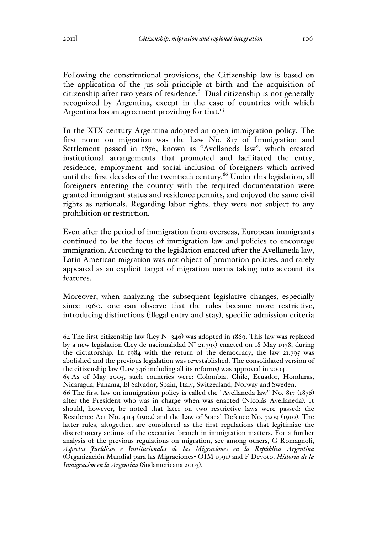Following the constitutional provisions, the Citizenship law is based on the application of the jus soli principle at birth and the acquisition of citizenship after two years of residence. $64$  Dual citizenship is not generally recognized by Argentina, except in the case of countries with which Argentina has an agreement providing for that.<sup>65</sup>

In the XIX century Argentina adopted an open immigration policy. The first norm on migration was the Law No. 817 of Immigration and Settlement passed in 1876, known as "Avellaneda law", which created institutional arrangements that promoted and facilitated the entry, residence, employment and social inclusion of foreigners which arrived until the first decades of the twentieth century.<sup>66</sup> Under this legislation, all foreigners entering the country with the required documentation were granted immigrant status and residence permits, and enjoyed the same civil rights as nationals. Regarding labor rights, they were not subject to any prohibition or restriction.

Even after the period of immigration from overseas, European immigrants continued to be the focus of immigration law and policies to encourage immigration. According to the legislation enacted after the Avellaneda law, Latin American migration was not object of promotion policies, and rarely appeared as an explicit target of migration norms taking into account its features.

Moreover, when analyzing the subsequent legislative changes, especially since 1960, one can observe that the rules became more restrictive, introducing distinctions (illegal entry and stay), specific admission criteria

<sup>64</sup> The first citizenship law (Ley N° 346) was adopted in 1869. This law was replaced by a new legislation (Ley de nacionalidad N° 21.795) enacted on 18 May 1978, during the dictatorship. In 1984 with the return of the democracy, the law 21.795 was abolished and the previous legislation was re-established. The consolidated version of the citizenship law (Law 346 including all its reforms) was approved in 2004.

<sup>65</sup> As of May 2005, such countries were: Colombia, Chile, Ecuador, Honduras, Nicaragua, Panama, El Salvador, Spain, Italy, Switzerland, Norway and Sweden.

<sup>66</sup> The first law on immigration policy is called the "Avellaneda law" No. 817 (1876) after the President who was in charge when was enacted (Nicolás Avellaneda). It should, however, be noted that later on two restrictive laws were passed: the Residence Act No. 4114 (1902) and the Law of Social Defence No. 7209 (1910). The latter rules, altogether, are considered as the first regulations that legitimize the discretionary actions of the executive branch in immigration matters. For a further analysis of the previous regulations on migration, see among others, G Romagnoli, *Aspectos Jurídicos e Institucionales de las Migraciones en la República Argentina* (Organización Mundial para las Migraciones- OIM 1991) and F Devoto, *Historia de la Inmigración en la Argentina* (Sudamericana 2003).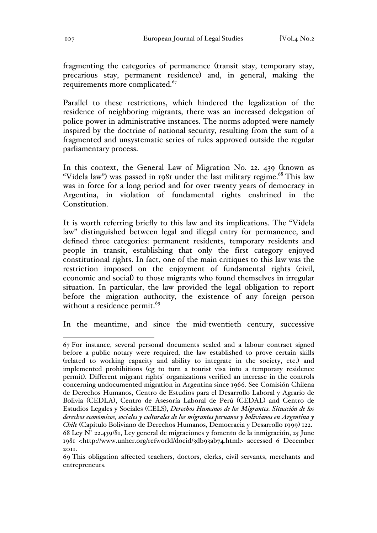fragmenting the categories of permanence (transit stay, temporary stay, precarious stay, permanent residence) and, in general, making the requirements more complicated.<sup>67</sup>

Parallel to these restrictions, which hindered the legalization of the residence of neighboring migrants, there was an increased delegation of police power in administrative instances. The norms adopted were namely inspired by the doctrine of national security, resulting from the sum of a fragmented and unsystematic series of rules approved outside the regular parliamentary process.

In this context, the General Law of Migration No. 22. 439 (known as "Videla law") was passed in 1981 under the last military regime.<sup>68</sup> This law was in force for a long period and for over twenty years of democracy in Argentina, in violation of fundamental rights enshrined in the Constitution.

It is worth referring briefly to this law and its implications. The "Videla law" distinguished between legal and illegal entry for permanence, and defined three categories: permanent residents, temporary residents and people in transit, establishing that only the first category enjoyed constitutional rights. In fact, one of the main critiques to this law was the restriction imposed on the enjoyment of fundamental rights (civil, economic and social) to those migrants who found themselves in irregular situation. In particular, the law provided the legal obligation to report before the migration authority, the existence of any foreign person without a residence permit.<sup>69</sup>

In the meantime, and since the mid-twentieth century, successive

 <sup>67</sup> For instance, several personal documents sealed and a labour contract signed before a public notary were required, the law established to prove certain skills (related to working capacity and ability to integrate in the society, etc.) and implemented prohibitions (eg to turn a tourist visa into a temporary residence permit). Different migrant rights' organizations verified an increase in the controls concerning undocumented migration in Argentina since 1966. See Comisión Chilena de Derechos Humanos, Centro de Estudios para el Desarrollo Laboral y Agrario de Bolivia (CEDLA), Centro de Asesoría Laboral de Perú (CEDAL) and Centro de Estudios Legales y Sociales (CELS), *Derechos Humanos de los Migrantes. Situación de los derechos económicos, sociales y culturales de los migrantes peruanos y bolivianos en Argentina y Chile* (Capítulo Boliviano de Derechos Humanos, Democracia y Desarrollo 1999) 122.  $68$  Ley N° 22.439/81, Ley general de migraciones y fomento de la inmigración, 25 June 1981 <http://www.unhcr.org/refworld/docid/3db93ab74.html> accessed 6 December 2011.

<sup>69</sup> This obligation affected teachers, doctors, clerks, civil servants, merchants and entrepreneurs.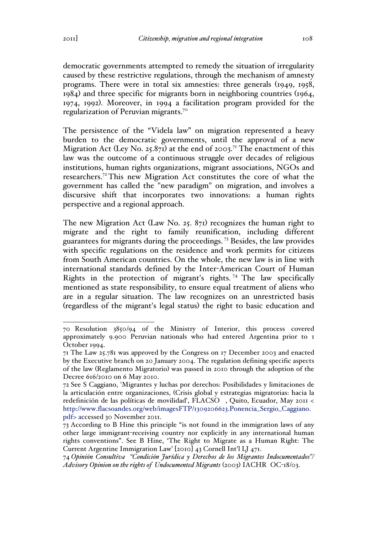democratic governments attempted to remedy the situation of irregularity caused by these restrictive regulations, through the mechanism of amnesty programs. There were in total six amnesties: three generals (1949, 1958, 1984) and three specific for migrants born in neighboring countries (1964, 1974, 1992). Moreover, in 1994 a facilitation program provided for the regularization of Peruvian migrants.<sup>70</sup>

The persistence of the "Videla law" on migration represented a heavy burden to the democratic governments, until the approval of a new Migration Act (Ley No. 25.871) at the end of 2003.<sup>71</sup> The enactment of this law was the outcome of a continuous struggle over decades of religious institutions, human rights organizations, migrant associations, NGOs and researchers.<sup>72</sup> This new Migration Act constitutes the core of what the government has called the "new paradigm" on migration, and involves a discursive shift that incorporates two innovations: a human rights perspective and a regional approach.

The new Migration Act (Law No. 25. 871) recognizes the human right to migrate and the right to family reunification, including different guarantees for migrants during the proceedings. <sup>73</sup> Besides, the law provides with specific regulations on the residence and work permits for citizens from South American countries. On the whole, the new law is in line with international standards defined by the Inter-American Court of Human Rights in the protection of migrant's rights. <sup>74</sup> The law specifically mentioned as state responsibility, to ensure equal treatment of aliens who are in a regular situation. The law recognizes on an unrestricted basis (regardless of the migrant's legal status) the right to basic education and

 <sup>70</sup> Resolution 3850/94 of the Ministry of Interior, this process covered approximately 9.900 Peruvian nationals who had entered Argentina prior to 1 October 1994.

<sup>71</sup> The Law 25.781 was approved by the Congress on 17 December 2003 and enacted by the Executive branch on 20 January 2004. The regulation defining specific aspects of the law (Reglamento Migratorio) was passed in 2010 through the adoption of the Decree 616/2010 on 6 May 2010.

<sup>72</sup> See S Caggiano, 'Migrantes y luchas por derechos: Posibilidades y limitaciones de la articulación entre organizaciones, (Crisis global y estrategias migratorias: hacia la redefinición de las políticas de movilidad', FLACSO , Quito, Ecuador, May 2011 < http://www.flacsoandes.org/web/imagesFTP/1309206623.Ponencia\_Sergio\_Caggiano. pdf> accessed 30 November 2011.

<sup>73</sup> According to B Hine this principle "is not found in the immigration laws of any other large immigrant-receiving country nor explicitly in any international human rights conventions". See B Hine, 'The Right to Migrate as a Human Right: The Current Argentine Immigration Law' [2010] 43 Cornell Int'l LJ 471.

<sup>74</sup> *Opinión Consultiva "Condición Jurídica y Derechos de los Migrantes Indocumentados"/ Advisory Opinion on the rights of Undocumented Migrants* (2003) IACHR OC-18/03.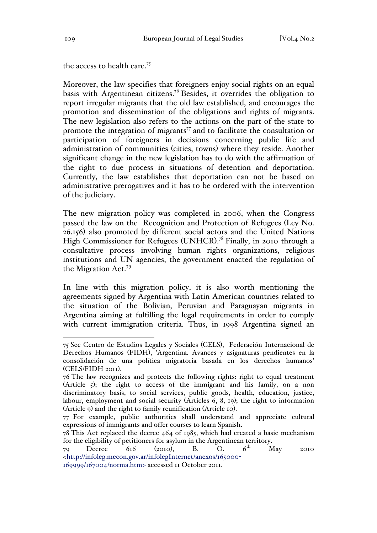the access to health care.<sup>75</sup>

Moreover, the law specifies that foreigners enjoy social rights on an equal basis with Argentinean citizens.<sup>76</sup> Besides, it overrides the obligation to report irregular migrants that the old law established, and encourages the promotion and dissemination of the obligations and rights of migrants. The new legislation also refers to the actions on the part of the state to promote the integration of migrants<sup> $77$ </sup> and to facilitate the consultation or participation of foreigners in decisions concerning public life and administration of communities (cities, towns) where they reside. Another significant change in the new legislation has to do with the affirmation of the right to due process in situations of detention and deportation. Currently, the law establishes that deportation can not be based on administrative prerogatives and it has to be ordered with the intervention of the judiciary.

The new migration policy was completed in 2006, when the Congress passed the law on the Recognition and Protection of Refugees (Ley No. 26.156) also promoted by different social actors and the United Nations High Commissioner for Refugees (UNHCR).<sup>78</sup> Finally, in 2010 through a consultative process involving human rights organizations, religious institutions and UN agencies, the government enacted the regulation of the Migration Act.<sup>79</sup>

In line with this migration policy, it is also worth mentioning the agreements signed by Argentina with Latin American countries related to the situation of the Bolivian, Peruvian and Paraguayan migrants in Argentina aiming at fulfilling the legal requirements in order to comply with current immigration criteria. Thus, in 1998 Argentina signed an

 <sup>75</sup> See Centro de Estudios Legales y Sociales (CELS), Federación Internacional de Derechos Humanos (FIDH), 'Argentina. Avances y asignaturas pendientes en la consolidación de una política migratoria basada en los derechos humanos' (CELS/FIDH 2011).

<sup>76</sup> The law recognizes and protects the following rights: right to equal treatment (Article 5); the right to access of the immigrant and his family, on a non discriminatory basis, to social services, public goods, health, education, justice, labour, employment and social security (Articles 6, 8, 19); the right to information (Article 9) and the right to family reunification (Article 10).

<sup>77</sup> For example, public authorities shall understand and appreciate cultural expressions of immigrants and offer courses to learn Spanish.

 $78$  This Act replaced the decree 464 of 1985, which had created a basic mechanism for the eligibility of petitioners for asylum in the Argentinean territory.<br>  $\begin{array}{ccc} 79 & \text{Decre} & 616 \\ 2010 & \text{B} & \text{O} & 6^{th} \\ \end{array}$ 

<sup>79</sup> Decree 616 (2010), B. O.  $6^{th}$  May 2010 <http://infoleg.mecon.gov.ar/infolegInternet/anexos/165000- 169999/167004/norma.htm> accessed 11 October 2011.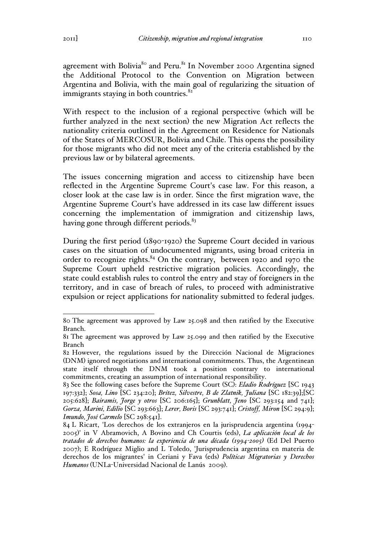agreement with Bolivia<sup>80</sup> and Peru.<sup>81</sup> In November 2000 Argentina signed the Additional Protocol to the Convention on Migration between Argentina and Bolivia, with the main goal of regularizing the situation of immigrants staying in both countries. $82$ 

With respect to the inclusion of a regional perspective (which will be further analyzed in the next section) the new Migration Act reflects the nationality criteria outlined in the Agreement on Residence for Nationals of the States of MERCOSUR, Bolivia and Chile. This opens the possibility for those migrants who did not meet any of the criteria established by the previous law or by bilateral agreements.

The issues concerning migration and access to citizenship have been reflected in the Argentine Supreme Court's case law. For this reason, a closer look at the case law is in order. Since the first migration wave, the Argentine Supreme Court's have addressed in its case law different issues concerning the implementation of immigration and citizenship laws, having gone through different periods.<sup>83</sup>

During the first period (1890-1920) the Supreme Court decided in various cases on the situation of undocumented migrants, using broad criteria in order to recognize rights. $84$  On the contrary, between 1920 and 1970 the Supreme Court upheld restrictive migration policies. Accordingly, the state could establish rules to control the entry and stay of foreigners in the territory, and in case of breach of rules, to proceed with administrative expulsion or reject applications for nationality submitted to federal judges.

 <sup>80</sup> The agreement was approved by Law 25.098 and then ratified by the Executive Branch.

<sup>81</sup> The agreement was approved by Law 25.099 and then ratified by the Executive Branch

<sup>82</sup> However, the regulations issued by the Dirección Nacional de Migraciones (DNM) ignored negotiations and international commitments. Thus, the Argentinean state itself through the DNM took a position contrary to international commitments, creating an assumption of international responsibility.

<sup>83</sup> See the following cases before the Supreme Court (SC): *Eladio Rodríguez* [SC 1943 197:332]; *Sosa, Lino* [SC 234:20]; *Brítez, Silvestre, B de Zlatnik, Juliana* [SC 182:39];[SC 205:628]; *Bairamis, Jorge y otros* [SC 206:165]; *Grunblatt, Jeno* [SC 293:154 and 741]; *Gorza, Marini, Edilio* [SC 293:663]; *Lerer, Boris* [SC 293:741]; *Cristoff, Miron* [SC 294:9]; *Imundo, José Carmelo* [SC 298:541].

<sup>84</sup> L Ricart, 'Los derechos de los extranjeros en la jurisprudencia argentina (1994- 2005)' in V Abramovich, A Bovino and Ch Courtis (eds), *La aplicación local de los tratados de derechos humanos: la experiencia de una década (1994-2005)* (Ed Del Puerto 2007); E Rodríguez Miglio and L Toledo, 'Jurisprudencia argentina en materia de derechos de los migrantes' in Ceriani y Fava (eds) *Políticas Migratorias y Derechos Humanos* (UNLa-Universidad Nacional de Lanús 2009).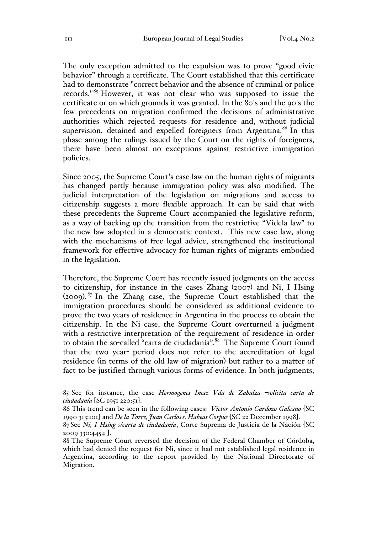The only exception admitted to the expulsion was to prove "good civic behavior" through a certificate. The Court established that this certificate had to demonstrate "correct behavior and the absence of criminal or police records."<sup>85</sup> However, it was not clear who was supposed to issue the certificate or on which grounds it was granted. In the 80's and the 90's the few precedents on migration confirmed the decisions of administrative authorities which rejected requests for residence and, without judicial supervision, detained and expelled foreigners from Argentina.<sup>86</sup> In this phase among the rulings issued by the Court on the rights of foreigners, there have been almost no exceptions against restrictive immigration policies.

Since 2005, the Supreme Court's case law on the human rights of migrants has changed partly because immigration policy was also modified. The judicial interpretation of the legislation on migrations and access to citizenship suggests a more flexible approach. It can be said that with these precedents the Supreme Court accompanied the legislative reform, as a way of backing up the transition from the restrictive "Videla law" to the new law adopted in a democratic context. This new case law, along with the mechanisms of free legal advice, strengthened the institutional framework for effective advocacy for human rights of migrants embodied in the legislation.

Therefore, the Supreme Court has recently issued judgments on the access to citizenship, for instance in the cases Zhang (2007) and Ni, I Hsing  $(2009).$ <sup>87</sup> In the Zhang case, the Supreme Court established that the immigration procedures should be considered as additional evidence to prove the two years of residence in Argentina in the process to obtain the citizenship. In the Ni case, the Supreme Court overturned a judgment with a restrictive interpretation of the requirement of residence in order to obtain the so-called "carta de ciudadanía".<sup>88</sup> The Supreme Court found that the two year- period does not refer to the accreditation of legal residence (in terms of the old law of migration) but rather to a matter of fact to be justified through various forms of evidence. In both judgments,

 <sup>85</sup> See for instance, the case *Hermogenes Imaz Vda de Zabalza –solicita carta de ciudadanía* [SC 1951 220:51].

<sup>86</sup> This trend can be seen in the following cases: *Victor Antonio Cardozo Galeano* [SC 1990 313:101] and *De la Torre, Juan Carlos s. Habeas Corpus* [SC 22 December 1998].

<sup>87</sup> See *Ni, I Hsing s/carta de ciudadanía*, Corte Suprema de Justicia de la Nación [SC 2009 330:4454 ].

<sup>88</sup> The Supreme Court reversed the decision of the Federal Chamber of Córdoba, which had denied the request for Ni, since it had not established legal residence in Argentina, according to the report provided by the National Directorate of Migration.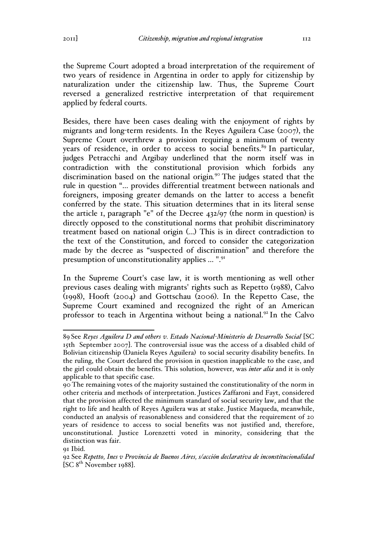the Supreme Court adopted a broad interpretation of the requirement of two years of residence in Argentina in order to apply for citizenship by naturalization under the citizenship law. Thus, the Supreme Court reversed a generalized restrictive interpretation of that requirement applied by federal courts.

Besides, there have been cases dealing with the enjoyment of rights by migrants and long-term residents. In the Reyes Aguilera Case (2007), the Supreme Court overthrew a provision requiring a minimum of twenty years of residence, in order to access to social benefits.<sup>89</sup> In particular, judges Petracchi and Argibay underlined that the norm itself was in contradiction with the constitutional provision which forbids any discrimination based on the national origin*.* <sup>90</sup> The judges stated that the rule in question "... provides differential treatment between nationals and foreigners, imposing greater demands on the latter to access a benefit conferred by the state. This situation determines that in its literal sense the article 1, paragraph "e" of the Decree 432/97 (the norm in question) is directly opposed to the constitutional norms that prohibit discriminatory treatment based on national origin (...) This is in direct contradiction to the text of the Constitution, and forced to consider the categorization made by the decree as "suspected of discrimination" and therefore the presumption of unconstitutionality applies ... ".91

In the Supreme Court's case law, it is worth mentioning as well other previous cases dealing with migrants' rights such as Repetto (1988), Calvo (1998), Hooft (2004) and Gottschau (2006). In the Repetto Case, the Supreme Court examined and recognized the right of an American professor to teach in Argentina without being a national.<sup>92</sup> In the Calvo

 <sup>89</sup> See *Reyes Aguilera D and others v. Estado Nacional-Ministerio de Desarrollo Social* [SC 15th September 2007]. The controversial issue was the access of a disabled child of Bolivian citizenship (Daniela Reyes Aguilera) to social security disability benefits. In the ruling, the Court declared the provision in question inapplicable to the case, and the girl could obtain the benefits. This solution, however, was *inter alia* and it is only applicable to that specific case.

<sup>90</sup> The remaining votes of the majority sustained the constitutionality of the norm in other criteria and methods of interpretation. Justices Zaffaroni and Fayt, considered that the provision affected the minimum standard of social security law, and that the right to life and health of Reyes Aguilera was at stake. Justice Maqueda, meanwhile, conducted an analysis of reasonableness and considered that the requirement of 20 years of residence to access to social benefits was not justified and, therefore, unconstitutional. Justice Lorenzetti voted in minority, considering that the distinction was fair.

or Ibid.

<sup>92</sup> See *Repetto, Ines v Provincia de Buenos Aires, s/acción declarativa de inconstitucionalidad*   $[SC 8<sup>th</sup> November 1988]$ .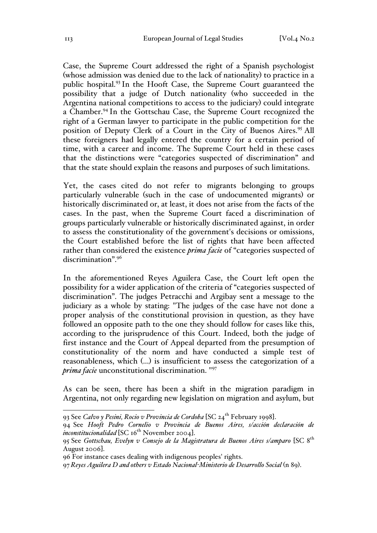Case, the Supreme Court addressed the right of a Spanish psychologist (whose admission was denied due to the lack of nationality) to practice in a public hospital.<sup>93</sup> In the Hooft Case, the Supreme Court guaranteed the possibility that a judge of Dutch nationality (who succeeded in the Argentina national competitions to access to the judiciary) could integrate a Chamber.<sup>94</sup> In the Gottschau Case, the Supreme Court recognized the right of a German lawyer to participate in the public competition for the position of Deputy Clerk of a Court in the City of Buenos Aires.<sup>95</sup> All these foreigners had legally entered the country for a certain period of time, with a career and income. The Supreme Court held in these cases that the distinctions were "categories suspected of discrimination" and that the state should explain the reasons and purposes of such limitations.

Yet, the cases cited do not refer to migrants belonging to groups particularly vulnerable (such in the case of undocumented migrants) or historically discriminated or, at least, it does not arise from the facts of the cases. In the past, when the Supreme Court faced a discrimination of groups particularly vulnerable or historically discriminated against, in order to assess the constitutionality of the government's decisions or omissions, the Court established before the list of rights that have been affected rather than considered the existence *prima facie* of "categories suspected of discrimination".<sup>96</sup>

In the aforementioned Reyes Aguilera Case, the Court left open the possibility for a wider application of the criteria of "categories suspected of discrimination". The judges Petracchi and Argibay sent a message to the judiciary as a whole by stating: "The judges of the case have not done a proper analysis of the constitutional provision in question, as they have followed an opposite path to the one they should follow for cases like this, according to the jurisprudence of this Court. Indeed, both the judge of first instance and the Court of Appeal departed from the presumption of constitutionality of the norm and have conducted a simple test of reasonableness, which (…) is insufficient to assess the categorization of a *prima facie* unconstitutional discrimination. "97

As can be seen, there has been a shift in the migration paradigm in Argentina, not only regarding new legislation on migration and asylum, but

 <sup>93</sup> See *Calvo y Pesini, Rocio v Provincia de Cordoba* [SC 24th February 1998].

<sup>94</sup> See *Hooft Pedro Cornelio v Provincia de Buenos Aires, s/acción declaración de*   $\frac{1}{2}$ *inconstitucionalidad* [SC 16<sup>th</sup> November 2004].

<sup>95</sup> See *Gottschau, Evelyn v Consejo de la Magistratura de Buenos Aires s/amparo* [SC 8th August 2006].

<sup>96</sup> For instance cases dealing with indigenous peoples' rights.

<sup>97</sup>*Reyes Aguilera D and others v Estado Nacional-Ministerio de Desarrollo Social* (n 89).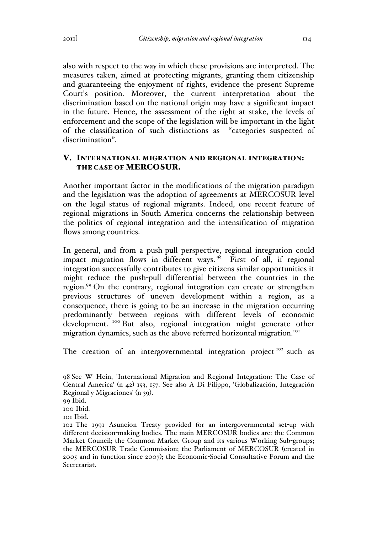also with respect to the way in which these provisions are interpreted. The measures taken, aimed at protecting migrants, granting them citizenship and guaranteeing the enjoyment of rights, evidence the present Supreme Court's position. Moreover, the current interpretation about the discrimination based on the national origin may have a significant impact in the future. Hence, the assessment of the right at stake, the levels of enforcement and the scope of the legislation will be important in the light of the classification of such distinctions as "categories suspected of discrimination".

## V. INTERNATIONAL MIGRATION AND REGIONAL INTEGRATION: THE CASE OF MERCOSUR.

Another important factor in the modifications of the migration paradigm and the legislation was the adoption of agreements at MERCOSUR level on the legal status of regional migrants. Indeed, one recent feature of regional migrations in South America concerns the relationship between the politics of regional integration and the intensification of migration flows among countries.

In general, and from a push-pull perspective, regional integration could impact migration flows in different ways.  $98$  First of all, if regional integration successfully contributes to give citizens similar opportunities it might reduce the push-pull differential between the countries in the region.<sup>99</sup> On the contrary, regional integration can create or strengthen previous structures of uneven development within a region, as a consequence, there is going to be an increase in the migration occurring predominantly between regions with different levels of economic development. <sup>100</sup> But also, regional integration might generate other migration dynamics, such as the above referred horizontal migration.<sup>101</sup>

The creation of an intergovernmental integration project<sup>102</sup> such as

 <sup>98</sup> See W Hein, 'International Migration and Regional Integration: The Case of Central America' (n 42) 153, 157. See also A Di Filippo, 'Globalización, Integración Regional y Migraciones' (n 39).

<sup>99</sup> Ibid.

<sup>100</sup> Ibid.

<sup>101</sup> Ibid.

<sup>102</sup> The 1991 Asuncion Treaty provided for an intergovernmental set-up with different decision-making bodies. The main MERCOSUR bodies are: the Common Market Council; the Common Market Group and its various Working Sub-groups; the MERCOSUR Trade Commission; the Parliament of MERCOSUR (created in 2005 and in function since 2007); the Economic-Social Consultative Forum and the Secretariat.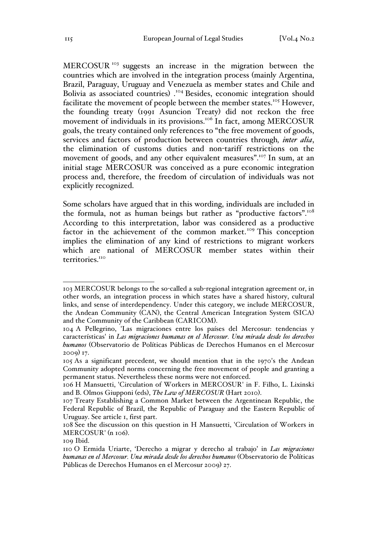MERCOSUR<sup>103</sup> suggests an increase in the migration between the countries which are involved in the integration process (mainly Argentina, Brazil, Paraguay, Uruguay and Venezuela as member states and Chile and Bolivia as associated countries) .<sup>104</sup> Besides, economic integration should facilitate the movement of people between the member states.<sup>105</sup> However, the founding treaty (1991 Asuncion Treaty) did not reckon the free movement of individuals in its provisions.<sup>106</sup> In fact, among MERCOSUR goals, the treaty contained only references to "the free movement of goods, services and factors of production between countries through*, inter alia*, the elimination of customs duties and non-tariff restrictions on the movement of goods, and any other equivalent measures".<sup>107</sup> In sum, at an initial stage MERCOSUR was conceived as a pure economic integration process and, therefore, the freedom of circulation of individuals was not explicitly recognized.

Some scholars have argued that in this wording, individuals are included in the formula, not as human beings but rather as "productive factors".<sup>108</sup> According to this interpretation, labor was considered as a productive factor in the achievement of the common market.<sup>109</sup> This conception implies the elimination of any kind of restrictions to migrant workers which are national of MERCOSUR member states within their territories.<sup>110</sup>

 <sup>103</sup> MERCOSUR belongs to the so-called a sub-regional integration agreement or, in other words, an integration process in which states have a shared history, cultural links, and sense of interdependency. Under this category, we include MERCOSUR, the Andean Community (CAN), the Central American Integration System (SICA) and the Community of the Caribbean (CARICOM).

<sup>104</sup> A Pellegrino, 'Las migraciones entre los países del Mercosur: tendencias y características' in *Las migraciones humanas en el Mercosur. Una mirada desde los derechos humanos* (Observatorio de Políticas Públicas de Derechos Humanos en el Mercosur 2009) 17.

<sup>105</sup> As a significant precedent, we should mention that in the 1970's the Andean Community adopted norms concerning the free movement of people and granting a permanent status. Nevertheless these norms were not enforced.

<sup>106</sup> H Mansuetti, 'Circulation of Workers in MERCOSUR' in F. Filho, L. Lixinski and B. Olmos Giupponi (eds), *The Law of MERCOSUR* (Hart 2010).

<sup>107</sup> Treaty Establishing a Common Market between the Argentinean Republic, the Federal Republic of Brazil, the Republic of Paraguay and the Eastern Republic of Uruguay. See article 1, first part.

<sup>108</sup> See the discussion on this question in H Mansuetti, 'Circulation of Workers in MERCOSUR' (n 106).

<sup>109</sup> Ibid.

<sup>110</sup> O Ermida Uriarte, 'Derecho a migrar y derecho al trabajo' in *Las migraciones humanas en el Mercosur. Una mirada desde los derechos humanos* (Observatorio de Políticas Públicas de Derechos Humanos en el Mercosur 2009) 27.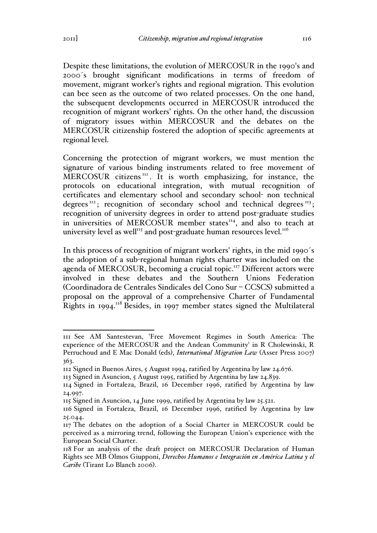Despite these limitations, the evolution of MERCOSUR in the 1990's and 2000´s brought significant modifications in terms of freedom of movement, migrant worker's rights and regional migration. This evolution can bee seen as the outcome of two related processes. On the one hand, the subsequent developments occurred in MERCOSUR introduced the recognition of migrant workers' rights. On the other hand, the discussion of migratory issues within MERCOSUR and the debates on the MERCOSUR citizenship fostered the adoption of specific agreements at regional level.

Concerning the protection of migrant workers, we must mention the signature of various binding instruments related to free movement of  $MERCOSUR$  citizens $III$ . It is worth emphasizing, for instance, the protocols on educational integration, with mutual recognition of certificates and elementary school and secondary school- non technical degrees<sup>112</sup>; recognition of secondary school and technical degrees<sup>113</sup>; recognition of university degrees in order to attend post-graduate studies in universities of MERCOSUR member states<sup>114</sup>, and also to teach at university level as well $^{115}$  and post-graduate human resources level.<sup>116</sup>

In this process of recognition of migrant workers' rights, in the mid 1990's the adoption of a sub-regional human rights charter was included on the agenda of MERCOSUR, becoming a crucial topic.<sup>117</sup> Different actors were involved in these debates and the Southern Unions Federation (Coordinadora de Centrales Sindicales del Cono Sur – CCSCS) submitted a proposal on the approval of a comprehensive Charter of Fundamental Rights in 1994.118 Besides, in 1997 member states signed the Multilateral

 <sup>111</sup> See AM Santestevan, 'Free Movement Regimes in South America: The experience of the MERCOSUR and the Andean Community' in R Cholewinski, R Perruchoud and E Mac Donald (eds), *International Migration Law* (Asser Press 2007) 363.

<sup>112</sup> Signed in Buenos Aires, 5 August 1994, ratified by Argentina by law 24.676.

<sup>113</sup> Signed in Asuncion, 5 August 1995, ratified by Argentina by law 24.839.

<sup>114</sup> Signed in Fortaleza, Brazil, 16 December 1996, ratified by Argentina by law 24.997.

<sup>115</sup> Signed in Asuncion, 14 June 1999, ratified by Argentina by law 25.521.

<sup>116</sup> Signed in Fortaleza, Brazil, 16 December 1996, ratified by Argentina by law 25.044.

<sup>117</sup> The debates on the adoption of a Social Charter in MERCOSUR could be perceived as a mirroring trend, following the European Union's experience with the European Social Charter.

<sup>118</sup> For an analysis of the draft project on MERCOSUR Declaration of Human Rights see MB Olmos Giupponi, *Derechos Humanos e Integración en América Latina y el Caribe* (Tirant Lo Blanch 2006).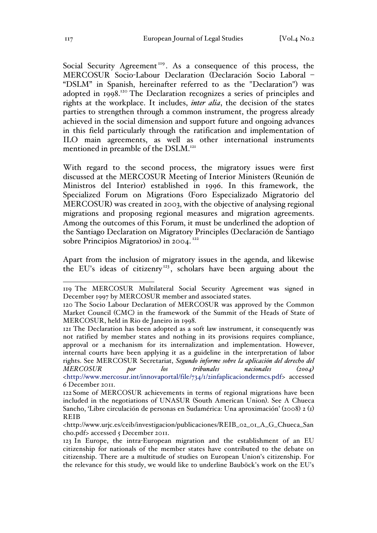Social Security Agreement<sup>119</sup>. As a consequence of this process, the MERCOSUR Socio-Labour Declaration (Declaración Socio Laboral – "DSLM" in Spanish, hereinafter referred to as the "Declaration") was adopted in 1998.<sup>120</sup> The Declaration recognizes a series of principles and rights at the workplace. It includes, *inter alia*, the decision of the states parties to strengthen through a common instrument, the progress already achieved in the social dimension and support future and ongoing advances in this field particularly through the ratification and implementation of ILO main agreements, as well as other international instruments mentioned in preamble of the DSLM.<sup>121</sup>

With regard to the second process, the migratory issues were first discussed at the MERCOSUR Meeting of Interior Ministers (Reunión de Ministros del Interior) established in 1996. In this framework, the Specialized Forum on Migrations (Foro Especializado Migratorio del MERCOSUR) was created in 2003, with the objective of analysing regional migrations and proposing regional measures and migration agreements. Among the outcomes of this Forum, it must be underlined the adoption of the Santiago Declaration on Migratory Principles (Declaración de Santiago sobre Principios Migratorios) in 2004.<sup>122</sup>

Apart from the inclusion of migratory issues in the agenda, and likewise the EU's ideas of citizenry<sup>123</sup>, scholars have been arguing about the

 <sup>119</sup> The MERCOSUR Multilateral Social Security Agreement was signed in December 1997 by MERCOSUR member and associated states.

<sup>120</sup> The Socio Labour Declaration of MERCOSUR was approved by the Common Market Council (CMC) in the framework of the Summit of the Heads of State of MERCOSUR, held in Rio de Janeiro in 1998.

<sup>121</sup> The Declaration has been adopted as a soft law instrument, it consequently was not ratified by member states and nothing in its provisions requires compliance, approval or a mechanism for its internalization and implementation. However, internal courts have been applying it as a guideline in the interpretation of labor rights. See MERCOSUR Secretariat, *Segundo informe sobre la aplicación del derecho del MERCOSUR por los tribunales nacionales (2004)* <http://www.mercosur.int/innovaportal/file/734/1/2infaplicaciondermcs.pdf> accessed 6 December 2011.

<sup>122</sup> Some of MERCOSUR achievements in terms of regional migrations have been included in the negotiations of UNASUR (South American Union). See A Chueca Sancho, 'Libre circulación de personas en Sudamérica: Una aproximación' (2008) 2 (1) REIB

<sup>&</sup>lt;http://www.urjc.es/ceib/investigacion/publicaciones/REIB\_02\_01\_A\_G\_Chueca\_San cho.pdf> accessed 5 December 2011.

<sup>123</sup> In Europe, the intra-European migration and the establishment of an EU citizenship for nationals of the member states have contributed to the debate on citizenship. There are a multitude of studies on European Union's citizenship. For the relevance for this study, we would like to underline Bauböck's work on the EU's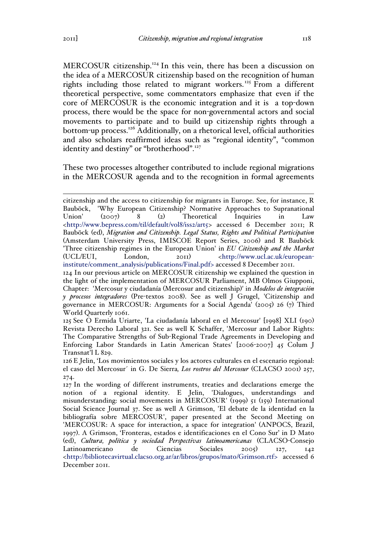MERCOSUR citizenship.<sup>124</sup> In this vein, there has been a discussion on the idea of a MERCOSUR citizenship based on the recognition of human rights including those related to migrant workers.<sup>125</sup> From a different theoretical perspective, some commentators emphasize that even if the core of MERCOSUR is the economic integration and it is a top-down process, there would be the space for non-governmental actors and social movements to participate and to build up citizenship rights through a bottom-up process.<sup>126</sup> Additionally, on a rhetorical level, official authorities and also scholars reaffirmed ideas such as "regional identity", "common identity and destiny" or "brotherhood".<sup>127</sup>

These two processes altogether contributed to include regional migrations in the MERCOSUR agenda and to the recognition in formal agreements

citizenship and the access to citizenship for migrants in Europe. See, for instance, R Bauböck, 'Why European Citizenship? Normative Approaches to Supranational Union' (2007) 8 (2) Theoretical Inquiries in Law <http://www.bepress.com/til/default/vol8/iss2/art5> accessed 6 December 2011; R Bauböck (ed), *Migration and Citizenship. Legal Status, Rights and Political Participation*  (Amsterdam University Press, IMISCOE Report Series, 2006) and R Bauböck 'Three citizenship regimes in the European Union' in *EU Citizenship and the Market*  (UCL/EUI, London, 2011) <http://www.ucl.ac.uk/europeaninstitute/comment\_analysis/publications/Final.pdf> accessed 8 December 2011.

<sup>124</sup> In our previous article on MERCOSUR citizenship we explained the question in the light of the implementation of MERCOSUR Parliament, MB Olmos Giupponi, Chapter: 'Mercosur y ciudadanía (Mercosur and citizenship)' in *Modelos de integración y procesos integradores* (Pre-textos 2008). See as well J Grugel, 'Citizenship and governance in MERCOSUR: Arguments for a Social Agenda' (2005) 26 (7) Third World Quarterly 1061.

<sup>125</sup> See O Ermida Uriarte, 'La ciudadanía laboral en el Mercosur' [1998] XLI (190) Revista Derecho Laboral 321. See as well K Schaffer, 'Mercosur and Labor Rights: The Comparative Strengths of Sub-Regional Trade Agreements in Developing and Enforcing Labor Standards in Latin American States' [2006-2007] 45 Colum J Transnat'l L 829.

<sup>126</sup> E Jelin, 'Los movimientos sociales y los actores culturales en el escenario regional: el caso del Mercosur´ in G. De Sierra*, Los rostros del Mercosur* (CLACSO 2001) 257, 274.

<sup>127</sup> In the wording of different instruments, treaties and declarations emerge the notion of a regional identity. E Jelin, 'Dialogues, understandings and misunderstanding: social movements in MERCOSUR' (1999) 51 (159) International Social Science Journal 37. See as well A Grimson, 'El debate de la identidad en la bibliografía sobre MERCOSUR', paper presented at the Second Meeting on 'MERCOSUR: A space for interaction, a space for integration' (ANPOCS, Brazil, 1997). A Grimson, 'Fronteras, estados e identificaciones en el Cono Sur' in D Mato (ed), *Cultura, política y sociedad Perspectivas latinoamericanas* (CLACSO-Consejo Latinoamericano de Ciencias Sociales 2005) 127, 142 <http://bibliotecavirtual.clacso.org.ar/ar/libros/grupos/mato/Grimson.rtf> accessed 6 December 2011.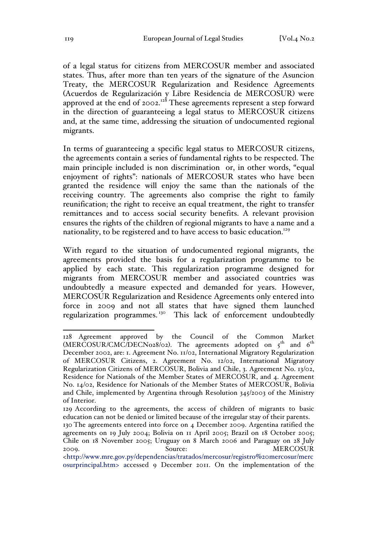of a legal status for citizens from MERCOSUR member and associated states. Thus, after more than ten years of the signature of the Asuncion Treaty, the MERCOSUR Regularization and Residence Agreements (Acuerdos de Regularización y Libre Residencia de MERCOSUR) were approved at the end of 2002.<sup>128</sup> These agreements represent a step forward in the direction of guaranteeing a legal status to MERCOSUR citizens and, at the same time, addressing the situation of undocumented regional migrants.

In terms of guaranteeing a specific legal status to MERCOSUR citizens, the agreements contain a series of fundamental rights to be respected. The main principle included is non discrimination or, in other words, "equal enjoyment of rights": nationals of MERCOSUR states who have been granted the residence will enjoy the same than the nationals of the receiving country. The agreements also comprise the right to family reunification; the right to receive an equal treatment, the right to transfer remittances and to access social security benefits. A relevant provision ensures the rights of the children of regional migrants to have a name and a nationality, to be registered and to have access to basic education.<sup>129</sup>

With regard to the situation of undocumented regional migrants, the agreements provided the basis for a regularization programme to be applied by each state. This regularization programme designed for migrants from MERCOSUR member and associated countries was undoubtedly a measure expected and demanded for years. However, MERCOSUR Regularization and Residence Agreements only entered into force in 2009 and not all states that have signed them launched regularization programmes.<sup>130</sup> This lack of enforcement undoubtedly

 <sup>128</sup> Agreement approved by the Council of the Common Market  $(MER\tilde{C}OSUR/CM\tilde{C}DECNo28/02)$ . The agreements adopted on  $5<sup>th</sup>$  and  $6<sup>th</sup>$ December 2002, are: 1. Agreement No. 11/02, International Migratory Regularization of MERCOSUR Citizens, 2. Agreement No. 12/02, International Migratory Regularization Citizens of MERCOSUR, Bolivia and Chile, 3. Agreement No. 13/02, Residence for Nationals of the Member States of MERCOSUR, and 4. Agreement No. 14/02, Residence for Nationals of the Member States of MERCOSUR, Bolivia and Chile, implemented by Argentina through Resolution 345/2003 of the Ministry of Interior.

<sup>129</sup> According to the agreements, the access of children of migrants to basic education can not be denied or limited because of the irregular stay of their parents.

<sup>130</sup> The agreements entered into force on 4 December 2009. Argentina ratified the agreements on 19 July 2004; Bolivia on 11 April 2005; Brazil on 18 October 2005; Chile on 18 November 2005; Uruguay on 8 March 2006 and Paraguay on 28 July 2009. Source: MERCOSUR

<sup>&</sup>lt;http://www.mre.gov.py/dependencias/tratados/mercosur/registro%20mercosur/merc osurprincipal.htm> accessed 9 December 2011. On the implementation of the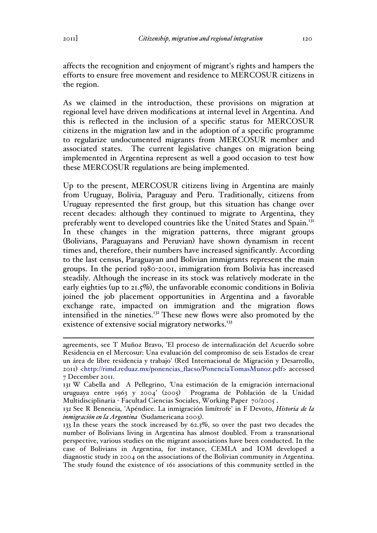affects the recognition and enjoyment of migrant's rights and hampers the efforts to ensure free movement and residence to MERCOSUR citizens in the region.

As we claimed in the introduction, these provisions on migration at regional level have driven modifications at internal level in Argentina. And this is reflected in the inclusion of a specific status for MERCOSUR citizens in the migration law and in the adoption of a specific programme to regularize undocumented migrants from MERCOSUR member and associated states. The current legislative changes on migration being implemented in Argentina represent as well a good occasion to test how these MERCOSUR regulations are being implemented.

Up to the present, MERCOSUR citizens living in Argentina are mainly from Uruguay, Bolivia, Paraguay and Peru. Traditionally, citizens from Uruguay represented the first group, but this situation has change over recent decades: although they continued to migrate to Argentina, they preferably went to developed countries like the United States and Spain.<sup>131</sup> In these changes in the migration patterns, three migrant groups (Bolivians, Paraguayans and Peruvian) have shown dynamism in recent times and, therefore, their numbers have increased significantly. According to the last census, Paraguayan and Bolivian immigrants represent the main groups. In the period 1980-2001, immigration from Bolivia has increased steadily. Although the increase in its stock was relatively moderate in the early eighties (up to 21.5%), the unfavorable economic conditions in Bolivia joined the job placement opportunities in Argentina and a favorable exchange rate, impacted on immigration and the migration flows intensified in the nineties.<sup>132</sup> These new flows were also promoted by the existence of extensive social migratory networks.<sup>133</sup>

agreements, see T Muñoz Bravo, 'El proceso de internalización del Acuerdo sobre Residencia en el Mercosur: Una evaluación del compromiso de seis Estados de crear un área de libre residencia y trabajo' (Red Internacional de Migración y Desarrollo, 2011) <http://rimd.reduaz.mx/ponencias\_flacso/PonenciaTomasMunoz.pdf> accessed 7 December 2011.

<sup>131</sup> W Cabella and A Pellegrino, *'*Una estimación de la emigración internacional uruguaya entre 1963 y 2004' (2005) Programa de Población de la Unidad Multidisciplinaria - Facultad Ciencias Sociales, Working Paper 70/2005 .

<sup>132</sup> See R Benencia, 'Apéndice. La inmigración limítrofe' in F Devoto, *Historia de la inmigración en la Argentina* (Sudamericana 2003).

<sup>133</sup> In these years the stock increased by 62.3%, so over the past two decades the number of Bolivians living in Argentina has almost doubled. From a transnational perspective, various studies on the migrant associations have been conducted. In the case of Bolivians in Argentina, for instance, CEMLA and IOM developed a diagnostic study in 2004 on the associations of the Bolivian community in Argentina. The study found the existence of 161 associations of this community settled in the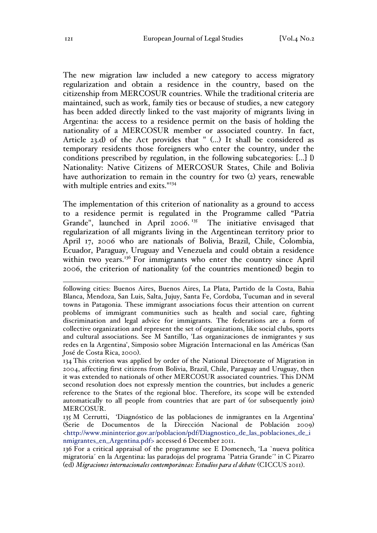The new migration law included a new category to access migratory regularization and obtain a residence in the country, based on the citizenship from MERCOSUR countries. While the traditional criteria are maintained, such as work, family ties or because of studies, a new category has been added directly linked to the vast majority of migrants living in Argentina: the access to a residence permit on the basis of holding the nationality of a MERCOSUR member or associated country. In fact, Article 23.d) of the Act provides that " (…) It shall be considered as temporary residents those foreigners who enter the country, under the conditions prescribed by regulation, in the following subcategories: [...] l) Nationality: Native Citizens of MERCOSUR States, Chile and Bolivia have authorization to remain in the country for two (2) years, renewable with multiple entries and exits." 134

The implementation of this criterion of nationality as a ground to access to a residence permit is regulated in the Programme called "Patria Grande", launched in April 2006.<sup>135</sup> The initiative envisaged that regularization of all migrants living in the Argentinean territory prior to April 17, 2006 who are nationals of Bolivia, Brazil, Chile, Colombia, Ecuador, Paraguay, Uruguay and Venezuela and could obtain a residence within two years.<sup>136</sup> For immigrants who enter the country since April 2006, the criterion of nationality (of the countries mentioned) begin to

134 This criterion was applied by order of the National Directorate of Migration in 2004, affecting first citizens from Bolivia, Brazil, Chile, Paraguay and Uruguay, then it was extended to nationals of other MERCOSUR associated countries. This DNM second resolution does not expressly mention the countries, but includes a generic reference to the States of the regional bloc. Therefore, its scope will be extended automatically to all people from countries that are part of (or subsequently join) MERCOSUR.

following cities: Buenos Aires, Buenos Aires, La Plata, Partido de la Costa, Bahia Blanca, Mendoza, San Luis, Salta, Jujuy, Santa Fe, Cordoba, Tucuman and in several towns in Patagonia. These immigrant associations focus their attention on current problems of immigrant communities such as health and social care, fighting discrimination and legal advice for immigrants. The federations are a form of collective organization and represent the set of organizations, like social clubs, sports and cultural associations. See M Santillo, 'Las organizaciones de inmigrantes y sus redes en la Argentina', Simposio sobre Migración Internacional en las Américas (San José de Costa Rica, 2000).

<sup>135</sup> M Cerrutti, 'Diagnóstico de las poblaciones de inmigrantes en la Argentina' (Serie de Documentos de la Dirección Nacional de Población 2009) <http://www.mininterior.gov.ar/poblacion/pdf/Diagnostico\_de\_las\_poblaciones\_de\_i nmigrantes\_en\_Argentina.pdf> accessed 6 December 2011.

<sup>136</sup> For a critical appraisal of the programme see E Domenech, 'La `nueva política migratoria´ en la Argentina: las paradojas del programa `Patria Grande´' in C Pizarro (ed) *Migraciones internacionales contemporáneas: Estudios para el debate* (CICCUS 2011).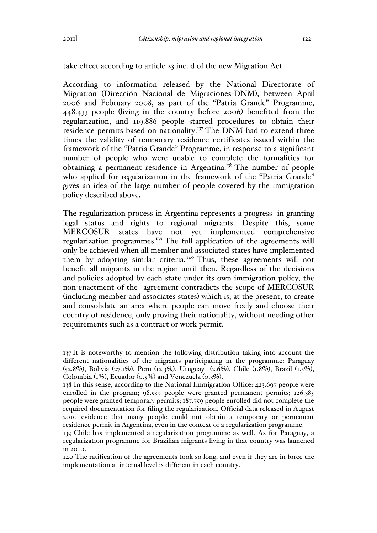take effect according to article 23 inc. d of the new Migration Act.

According to information released by the National Directorate of Migration (Dirección Nacional de Migraciones-DNM), between April 2006 and February 2008, as part of the "Patria Grande" Programme, 448.433 people (living in the country before 2006) benefited from the regularization, and 119.886 people started procedures to obtain their residence permits based on nationality.<sup>137</sup> The DNM had to extend three times the validity of temporary residence certificates issued within the framework of the "Patria Grande" Programme, in response to a significant number of people who were unable to complete the formalities for obtaining a permanent residence in Argentina.<sup>138</sup> The number of people who applied for regularization in the framework of the "Patria Grande" gives an idea of the large number of people covered by the immigration policy described above.

The regularization process in Argentina represents a progress in granting legal status and rights to regional migrants. Despite this, some MERCOSUR states have not yet implemented comprehensive regularization programmes.139 The full application of the agreements will only be achieved when all member and associated states have implemented them by adopting similar criteria.<sup>140</sup> Thus, these agreements will not benefit all migrants in the region until then. Regardless of the decisions and policies adopted by each state under its own immigration policy, the non-enactment of the agreement contradicts the scope of MERCOSUR (including member and associates states) which is, at the present, to create and consolidate an area where people can move freely and choose their country of residence, only proving their nationality, without needing other requirements such as a contract or work permit.

 <sup>137</sup> It is noteworthy to mention the following distribution taking into account the different nationalities of the migrants participating in the programme: Paraguay (52.8%), Bolivia (27.1%), Peru (12.3%), Uruguay (2.6%), Chile (1.8%), Brazil (1.5%), Colombia (1%), Ecuador (0.5%) and Venezuela (0.3%).

<sup>138</sup> In this sense, according to the National Immigration Office: 423.697 people were enrolled in the program; 98.539 people were granted permanent permits; 126.385 people were granted temporary permits; 187.759 people enrolled did not complete the required documentation for filing the regularization. Official data released in August 2010 evidence that many people could not obtain a temporary or permanent residence permit in Argentina, even in the context of a regularization programme.

<sup>139</sup> Chile has implemented a regularization programme as well. As for Paraguay, a regularization programme for Brazilian migrants living in that country was launched in 2010.

<sup>140</sup> The ratification of the agreements took so long, and even if they are in force the implementation at internal level is different in each country.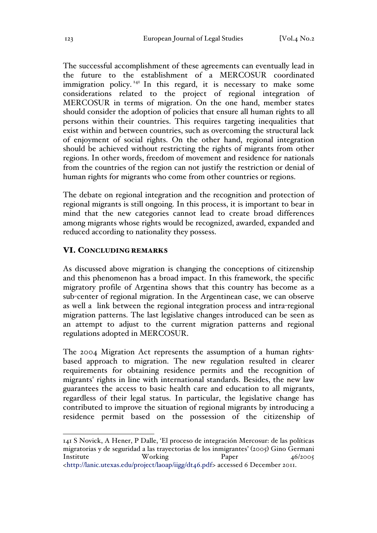The successful accomplishment of these agreements can eventually lead in the future to the establishment of a MERCOSUR coordinated immigration policy.<sup>141</sup> In this regard, it is necessary to make some considerations related to the project of regional integration of MERCOSUR in terms of migration. On the one hand, member states should consider the adoption of policies that ensure all human rights to all persons within their countries. This requires targeting inequalities that exist within and between countries, such as overcoming the structural lack of enjoyment of social rights. On the other hand, regional integration should be achieved without restricting the rights of migrants from other regions. In other words, freedom of movement and residence for nationals from the countries of the region can not justify the restriction or denial of human rights for migrants who come from other countries or regions.

The debate on regional integration and the recognition and protection of regional migrants is still ongoing. In this process, it is important to bear in mind that the new categories cannot lead to create broad differences among migrants whose rights would be recognized, awarded, expanded and reduced according to nationality they possess.

### VI. CONCLUDING REMARKS

As discussed above migration is changing the conceptions of citizenship and this phenomenon has a broad impact. In this framework, the specific migratory profile of Argentina shows that this country has become as a sub-center of regional migration. In the Argentinean case, we can observe as well a link between the regional integration process and intra-regional migration patterns. The last legislative changes introduced can be seen as an attempt to adjust to the current migration patterns and regional regulations adopted in MERCOSUR.

The 2004 Migration Act represents the assumption of a human rightsbased approach to migration. The new regulation resulted in clearer requirements for obtaining residence permits and the recognition of migrants' rights in line with international standards. Besides, the new law guarantees the access to basic health care and education to all migrants, regardless of their legal status. In particular, the legislative change has contributed to improve the situation of regional migrants by introducing a residence permit based on the possession of the citizenship of

 <sup>141</sup> S Novick, A Hener, P Dalle, 'El proceso de integración Mercosur: de las políticas migratorias y de seguridad a las trayectorias de los inmigrantes' (2005) Gino Germani Institute Working Paper 46/2005 <http://lanic.utexas.edu/project/laoap/iigg/dt46.pdf> accessed 6 December 2011.